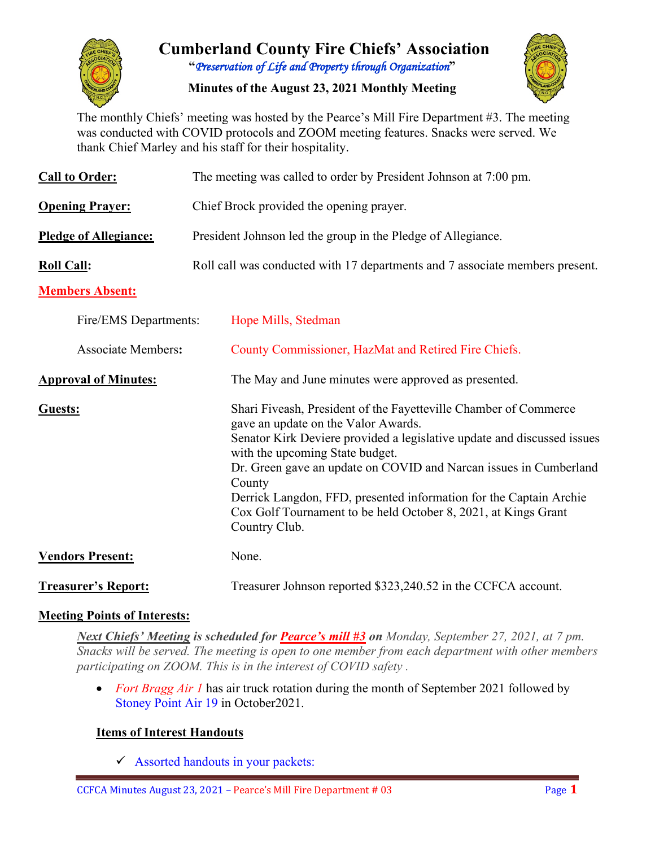

# **Cumberland County Fire Chiefs' Association "***Preservation of Life and Property through Organization***"**

**Minutes of the August 23, 2021 Monthly Meeting**



The monthly Chiefs' meeting was hosted by the Pearce's Mill Fire Department #3. The meeting was conducted with COVID protocols and ZOOM meeting features. Snacks were served. We thank Chief Marley and his staff for their hospitality.

| <b>Call to Order:</b>        | The meeting was called to order by President Johnson at 7:00 pm.                                                                                                                                                                                                                                                                                                                                                                                              |  |  |  |  |  |  |  |  |
|------------------------------|---------------------------------------------------------------------------------------------------------------------------------------------------------------------------------------------------------------------------------------------------------------------------------------------------------------------------------------------------------------------------------------------------------------------------------------------------------------|--|--|--|--|--|--|--|--|
| <b>Opening Prayer:</b>       | Chief Brock provided the opening prayer.                                                                                                                                                                                                                                                                                                                                                                                                                      |  |  |  |  |  |  |  |  |
| <b>Pledge of Allegiance:</b> | President Johnson led the group in the Pledge of Allegiance.                                                                                                                                                                                                                                                                                                                                                                                                  |  |  |  |  |  |  |  |  |
| <b>Roll Call:</b>            | Roll call was conducted with 17 departments and 7 associate members present.                                                                                                                                                                                                                                                                                                                                                                                  |  |  |  |  |  |  |  |  |
| <b>Members Absent:</b>       |                                                                                                                                                                                                                                                                                                                                                                                                                                                               |  |  |  |  |  |  |  |  |
| Fire/EMS Departments:        | Hope Mills, Stedman                                                                                                                                                                                                                                                                                                                                                                                                                                           |  |  |  |  |  |  |  |  |
| <b>Associate Members:</b>    | County Commissioner, HazMat and Retired Fire Chiefs.                                                                                                                                                                                                                                                                                                                                                                                                          |  |  |  |  |  |  |  |  |
| <b>Approval of Minutes:</b>  | The May and June minutes were approved as presented.                                                                                                                                                                                                                                                                                                                                                                                                          |  |  |  |  |  |  |  |  |
| <b>Guests:</b>               | Shari Fiveash, President of the Fayetteville Chamber of Commerce<br>gave an update on the Valor Awards.<br>Senator Kirk Deviere provided a legislative update and discussed issues<br>with the upcoming State budget.<br>Dr. Green gave an update on COVID and Narcan issues in Cumberland<br>County<br>Derrick Langdon, FFD, presented information for the Captain Archie<br>Cox Golf Tournament to be held October 8, 2021, at Kings Grant<br>Country Club. |  |  |  |  |  |  |  |  |
| <b>Vendors Present:</b>      | None.                                                                                                                                                                                                                                                                                                                                                                                                                                                         |  |  |  |  |  |  |  |  |
| <b>Treasurer's Report:</b>   | Treasurer Johnson reported \$323,240.52 in the CCFCA account.                                                                                                                                                                                                                                                                                                                                                                                                 |  |  |  |  |  |  |  |  |

## **Meeting Points of Interests:**

*Next Chiefs' Meeting is scheduled for Pearce's mill #3 on Monday, September 27, 2021, at 7 pm. Snacks will be served. The meeting is open to one member from each department with other members participating on ZOOM. This is in the interest of COVID safety .* 

• *Fort Bragg Air 1* has air truck rotation during the month of September 2021 followed by Stoney Point Air 19 in October2021.

## **Items of Interest Handouts**

 $\checkmark$  Assorted handouts in your packets: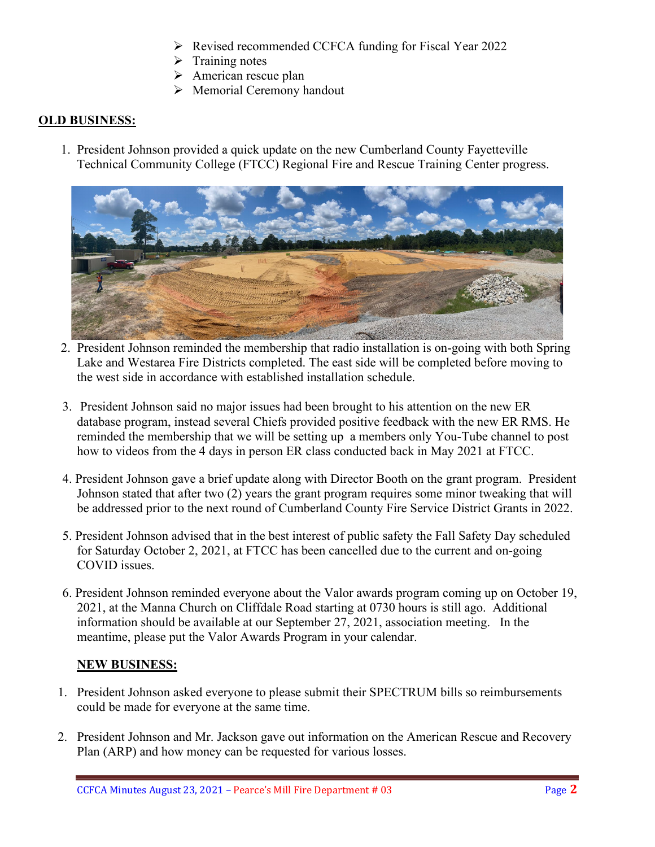- Revised recommended CCFCA funding for Fiscal Year 2022
- $\triangleright$  Training notes
- $\triangleright$  American rescue plan
- $\triangleright$  Memorial Ceremony handout

#### **OLD BUSINESS:**

1. President Johnson provided a quick update on the new Cumberland County Fayetteville Technical Community College (FTCC) Regional Fire and Rescue Training Center progress.



- 2. President Johnson reminded the membership that radio installation is on-going with both Spring Lake and Westarea Fire Districts completed. The east side will be completed before moving to the west side in accordance with established installation schedule.
- 3. President Johnson said no major issues had been brought to his attention on the new ER database program, instead several Chiefs provided positive feedback with the new ER RMS. He reminded the membership that we will be setting up a members only You-Tube channel to post how to videos from the 4 days in person ER class conducted back in May 2021 at FTCC.
- 4. President Johnson gave a brief update along with Director Booth on the grant program. President Johnson stated that after two (2) years the grant program requires some minor tweaking that will be addressed prior to the next round of Cumberland County Fire Service District Grants in 2022.
- 5. President Johnson advised that in the best interest of public safety the Fall Safety Day scheduled for Saturday October 2, 2021, at FTCC has been cancelled due to the current and on-going COVID issues.
- 6. President Johnson reminded everyone about the Valor awards program coming up on October 19, 2021, at the Manna Church on Cliffdale Road starting at 0730 hours is still ago. Additional information should be available at our September 27, 2021, association meeting. In the meantime, please put the Valor Awards Program in your calendar.

#### **NEW BUSINESS:**

- 1. President Johnson asked everyone to please submit their SPECTRUM bills so reimbursements could be made for everyone at the same time.
- 2. President Johnson and Mr. Jackson gave out information on the American Rescue and Recovery Plan (ARP) and how money can be requested for various losses.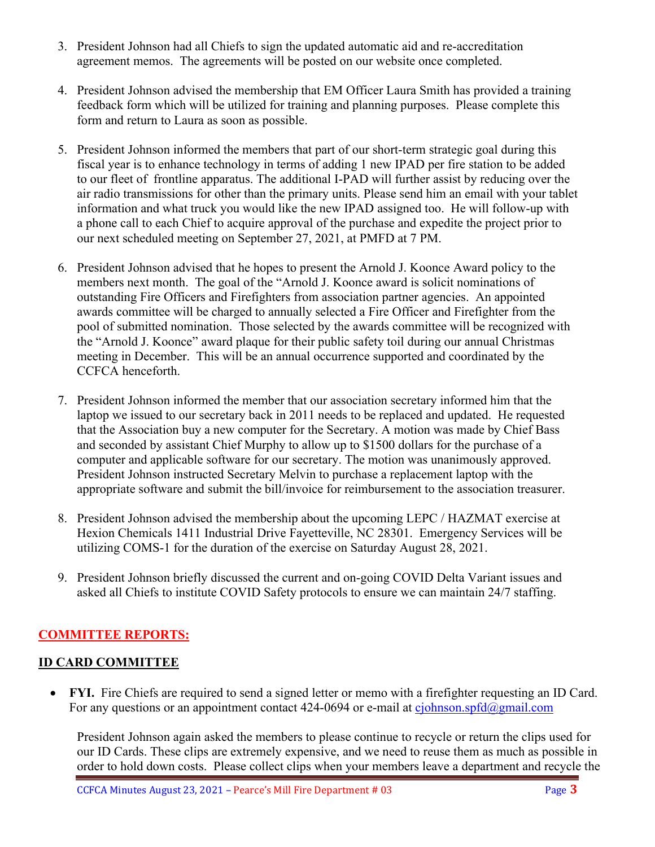- 3. President Johnson had all Chiefs to sign the updated automatic aid and re-accreditation agreement memos. The agreements will be posted on our website once completed.
- 4. President Johnson advised the membership that EM Officer Laura Smith has provided a training feedback form which will be utilized for training and planning purposes. Please complete this form and return to Laura as soon as possible.
- 5. President Johnson informed the members that part of our short-term strategic goal during this fiscal year is to enhance technology in terms of adding 1 new IPAD per fire station to be added to our fleet of frontline apparatus. The additional I-PAD will further assist by reducing over the air radio transmissions for other than the primary units. Please send him an email with your tablet information and what truck you would like the new IPAD assigned too. He will follow-up with a phone call to each Chief to acquire approval of the purchase and expedite the project prior to our next scheduled meeting on September 27, 2021, at PMFD at 7 PM.
- 6. President Johnson advised that he hopes to present the Arnold J. Koonce Award policy to the members next month. The goal of the "Arnold J. Koonce award is solicit nominations of outstanding Fire Officers and Firefighters from association partner agencies. An appointed awards committee will be charged to annually selected a Fire Officer and Firefighter from the pool of submitted nomination. Those selected by the awards committee will be recognized with the "Arnold J. Koonce" award plaque for their public safety toil during our annual Christmas meeting in December. This will be an annual occurrence supported and coordinated by the CCFCA henceforth.
- 7. President Johnson informed the member that our association secretary informed him that the laptop we issued to our secretary back in 2011 needs to be replaced and updated. He requested that the Association buy a new computer for the Secretary. A motion was made by Chief Bass and seconded by assistant Chief Murphy to allow up to \$1500 dollars for the purchase of a computer and applicable software for our secretary. The motion was unanimously approved. President Johnson instructed Secretary Melvin to purchase a replacement laptop with the appropriate software and submit the bill/invoice for reimbursement to the association treasurer.
- 8. President Johnson advised the membership about the upcoming LEPC / HAZMAT exercise at Hexion Chemicals 1411 Industrial Drive Fayetteville, NC 28301. Emergency Services will be utilizing COMS-1 for the duration of the exercise on Saturday August 28, 2021.
- 9. President Johnson briefly discussed the current and on-going COVID Delta Variant issues and asked all Chiefs to institute COVID Safety protocols to ensure we can maintain 24/7 staffing.

## **COMMITTEE REPORTS:**

## **ID CARD COMMITTEE**

• **FYI.** Fire Chiefs are required to send a signed letter or memo with a firefighter requesting an ID Card. For any questions or an appointment contact 424-0694 or e-mail at [cjohnson.spfd@gmail.com](mailto:cjohnson.spfd@gmail.com)

President Johnson again asked the members to please continue to recycle or return the clips used for our ID Cards. These clips are extremely expensive, and we need to reuse them as much as possible in order to hold down costs. Please collect clips when your members leave a department and recycle the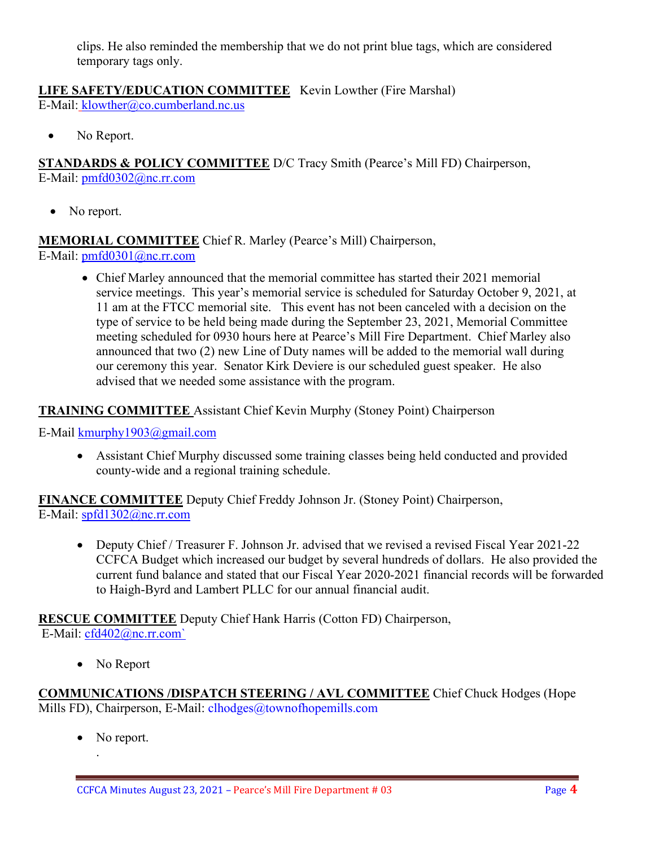clips. He also reminded the membership that we do not print blue tags, which are considered temporary tags only.

# **LIFE SAFETY/EDUCATION COMMITTEE** Kevin Lowther (Fire Marshal)

E-Mail: [klowther@co.cumberland.nc.us](mailto:klowther@co.cumberland.nc.us)

• No Report.

**STANDARDS & POLICY COMMITTEE** D/C Tracy Smith (Pearce's Mill FD) Chairperson, E-Mail: [pmfd0302@nc.rr.com](mailto:pmfd0302@nc.rr.com)

• No report.

## **MEMORIAL COMMITTEE** Chief R. Marley (Pearce's Mill) Chairperson,

E-Mail: [pmfd0301@nc.rr.com](mailto:pmfd0301@nc.rr.com)

• Chief Marley announced that the memorial committee has started their 2021 memorial service meetings. This year's memorial service is scheduled for Saturday October 9, 2021, at 11 am at the FTCC memorial site. This event has not been canceled with a decision on the type of service to be held being made during the September 23, 2021, Memorial Committee meeting scheduled for 0930 hours here at Pearce's Mill Fire Department. Chief Marley also announced that two (2) new Line of Duty names will be added to the memorial wall during our ceremony this year. Senator Kirk Deviere is our scheduled guest speaker. He also advised that we needed some assistance with the program.

#### **TRAINING COMMITTEE** Assistant Chief Kevin Murphy (Stoney Point) Chairperson

E-Mail [kmurphy1903@gmail.com](mailto:kmurphy1903@gmail.com)

• Assistant Chief Murphy discussed some training classes being held conducted and provided county-wide and a regional training schedule.

**FINANCE COMMITTEE** Deputy Chief Freddy Johnson Jr. (Stoney Point) Chairperson, E-Mail: [spfd1302@nc.rr.com](mailto:spfd1302@nc.rr.com)

• Deputy Chief / Treasurer F. Johnson Jr. advised that we revised a revised Fiscal Year 2021-22 CCFCA Budget which increased our budget by several hundreds of dollars. He also provided the current fund balance and stated that our Fiscal Year 2020-2021 financial records will be forwarded to Haigh-Byrd and Lambert PLLC for our annual financial audit.

**RESCUE COMMITTEE** Deputy Chief Hank Harris (Cotton FD) Chairperson, E-Mail: [cfd402@nc.rr.com`](mailto:cfd402@nc.rr.com)

• No Report

**COMMUNICATIONS /DISPATCH STEERING / AVL COMMITTEE** Chief Chuck Hodges (Hope Mills FD), Chairperson, E-Mail: clhodges@townofhopemills.com

• No report.

.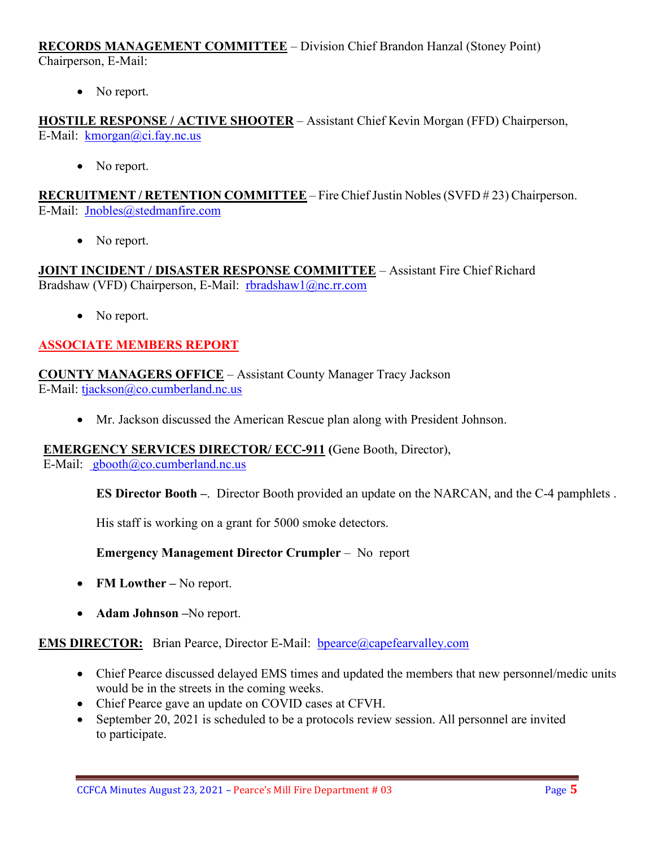**RECORDS MANAGEMENT COMMITTEE** – Division Chief Brandon Hanzal (Stoney Point) Chairperson, E-Mail:

• No report.

**HOSTILE RESPONSE / ACTIVE SHOOTER** – Assistant Chief Kevin Morgan (FFD) Chairperson, E-Mail: [kmorgan@ci.fay.nc.us](mailto:kmorgan@ci.fay.nc.us)

• No report.

**RECRUITMENT / RETENTION COMMITTEE** – Fire Chief Justin Nobles (SVFD # 23) Chairperson. E-Mail: [Jnobles@stedmanfire.com](mailto:Jnobles@stedmanfire.com)

• No report.

**JOINT INCIDENT / DISASTER RESPONSE COMMITTEE** – Assistant Fire Chief Richard Bradshaw (VFD) Chairperson, E-Mail: [rbradshaw1@nc.rr.com](mailto:rbradshaw1@nc.rr.com)

• No report.

## **ASSOCIATE MEMBERS REPORT**

**COUNTY MANAGERS OFFICE** – Assistant County Manager Tracy Jackson E-Mail: [tjackson@co.cumberland.nc.us](mailto:tjackson@co.cumberland.nc.us)

• Mr. Jackson discussed the American Rescue plan along with President Johnson.

#### **EMERGENCY SERVICES DIRECTOR/ ECC-911 (**Gene Booth, Director),

E-Mail: [gbooth@co.cumberland.nc.us](mailto:gbooth@co.cumberland.nc.us)

**ES Director Booth –**. Director Booth provided an update on the NARCAN, and the C-4 pamphlets .

His staff is working on a grant for 5000 smoke detectors.

**Emergency Management Director Crumpler** – No report

- **FM Lowther –** No report.
- **Adam Johnson –**No report.

**EMS DIRECTOR:** Brian Pearce, Director E-Mail: bpearce@capefearvalley.com

- Chief Pearce discussed delayed EMS times and updated the members that new personnel/medic units would be in the streets in the coming weeks.
- Chief Pearce gave an update on COVID cases at CFVH.
- September 20, 2021 is scheduled to be a protocols review session. All personnel are invited to participate.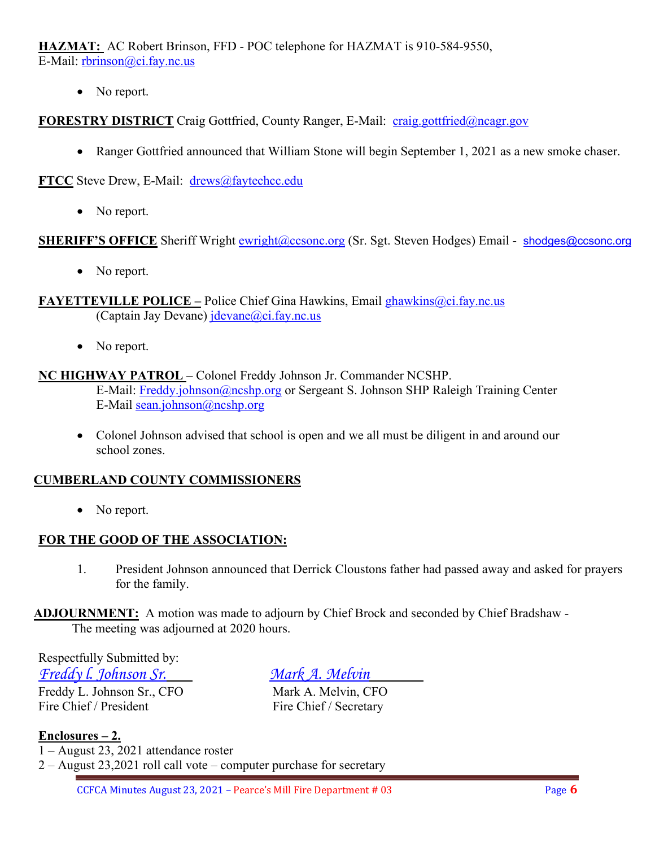**HAZMAT:** AC Robert Brinson, FFD - POC telephone for HAZMAT is 910-584-9550, E-Mail: [rbrinson@ci.fay.nc.us](mailto:rbrinson@ci.fay.nc.us)

• No report.

**FORESTRY DISTRICT** Craig Gottfried, County Ranger, E-Mail: [craig.gottfried@ncagr.gov](mailto:craig.gottfried@ncagr.gov)

• Ranger Gottfried announced that William Stone will begin September 1, 2021 as a new smoke chaser.

**FTCC** Steve Drew, E-Mail: [drews@faytechcc.edu](mailto:drews@faytechcc.edu)

• No report.

**SHERIFF'S OFFICE** Sheriff Wright [ewright@ccsonc.org](mailto:ewright@ccsonc.org) (Sr. Sgt. Steven Hodges) Email - [shodges@ccsonc.org](mailto:shodges@ccsonc.org)

• No report.

**FAYETTEVILLE POLICE –** Police Chief Gina Hawkins, Email ghawkins@ci.fay.nc.us (Captain Jay Devane)  $\text{idevane}(\omega)$ ci.fay.nc.us

• No report.

#### **NC HIGHWAY PATROL** – Colonel Freddy Johnson Jr. Commander NCSHP.

E-Mail: [Freddy.johnson@ncshp.org](mailto:Freddy.johnson@ncshp.org) or Sergeant S. Johnson SHP Raleigh Training Center E-Mail [sean.johnson@ncshp.org](mailto:sean.johnson@ncshp.org)

• Colonel Johnson advised that school is open and we all must be diligent in and around our school zones.

#### **CUMBERLAND COUNTY COMMISSIONERS**

• No report.

## **FOR THE GOOD OF THE ASSOCIATION:**

1. President Johnson announced that Derrick Cloustons father had passed away and asked for prayers for the family.

**ADJOURNMENT:** A motion was made to adjourn by Chief Brock and seconded by Chief Bradshaw - The meeting was adjourned at 2020 hours.

Respectfully Submitted by: *Freddy l. Johnson Sr. Mark A. Melvin* Freddy L. Johnson Sr., CFO Mark A. Melvin, CFO

Fire Chief / President Fire Chief / Secretary

**Enclosures – 2.**

1 – August 23, 2021 attendance roster

2 – August 23,2021 roll call vote – computer purchase for secretary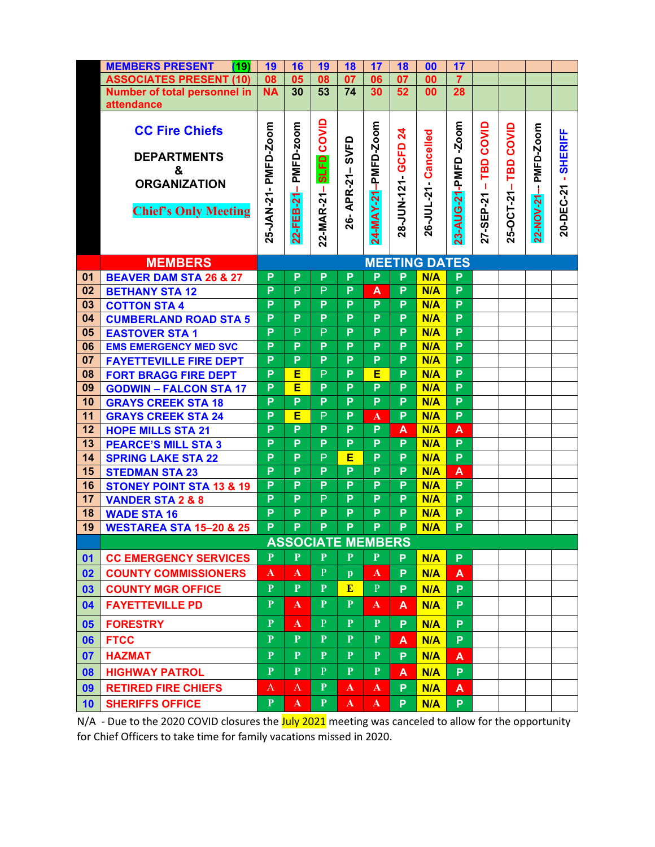|    | <b>MEMBERS PRESENT</b><br>(19)      | 19                   | 16             | 19             | 18           | 17                  | 18              | 00                   | 17             |           |            |            |                     |
|----|-------------------------------------|----------------------|----------------|----------------|--------------|---------------------|-----------------|----------------------|----------------|-----------|------------|------------|---------------------|
|    | <b>ASSOCIATES PRESENT (10)</b>      | 08<br><b>NA</b>      | 05             | 08             | 07           | 06                  | 07              | 00                   | $\overline{7}$ |           |            |            |                     |
|    | <b>Number of total personnel in</b> |                      | 30             | 53             | 74           | 30                  | 52              | 00                   | 28             |           |            |            |                     |
|    | attendance                          |                      |                |                |              |                     |                 |                      |                |           |            |            |                     |
|    | <b>CC Fire Chiefs</b>               |                      |                |                |              |                     |                 |                      |                |           |            |            |                     |
|    |                                     |                      | PMFD-zoom      | COVID          |              | 24-MAY-21-PMFD-Zoom | $\mathbf{z}$    | 26-JUL-21-Cancelled  | $-200m$        | COVID     | COVID      | PMFD-Zoom  | 20-DEC-21 - SHERIFF |
|    | <b>DEPARTMENTS</b>                  |                      |                |                | SVFD         |                     | 28-JUN-121 GCFD |                      |                |           |            |            |                     |
|    | &                                   |                      |                | <b>SLFD</b>    |              |                     |                 |                      |                | TBD       | TBD        |            |                     |
|    | <b>ORGANIZATION</b>                 |                      |                |                |              |                     |                 |                      |                | п         |            |            |                     |
|    |                                     |                      | т.             |                | APR-21-      |                     |                 |                      |                |           |            |            |                     |
|    | <b>Chief's Only Meeting</b>         |                      |                |                |              |                     |                 |                      |                |           | 25-OCT-21- |            |                     |
|    |                                     |                      |                |                | 26-          |                     |                 |                      |                |           |            |            |                     |
|    |                                     | 25-JAN-21- PMFD-Zoom | 22-FEB-21      | 22-MAR-21-     |              |                     |                 |                      | 23-AUG-21-PMFD | 27-SEP-21 |            | 22-NOV-21- |                     |
|    |                                     |                      |                |                |              |                     |                 |                      |                |           |            |            |                     |
|    | <b>MEMBERS</b>                      |                      |                |                |              |                     |                 | <b>MEETING DATES</b> |                |           |            |            |                     |
| 01 | <b>BEAVER DAM STA 26 &amp; 27</b>   | P                    | P              | P              | P            | P                   | P               | N/A                  | P              |           |            |            |                     |
| 02 | <b>BETHANY STA 12</b>               | P                    | $\mathsf{P}$   | P              | P            | A                   | P               | N/A                  | P              |           |            |            |                     |
| 03 | <b>COTTON STA 4</b>                 | P                    | P              | P              | P            | P                   | P               | N/A                  | $\overline{P}$ |           |            |            |                     |
| 04 | <b>CUMBERLAND ROAD STA 5</b>        | P                    | P              | P              | P            | P                   | P               | N/A                  | P              |           |            |            |                     |
| 05 | <b>EASTOVER STA1</b>                | P                    | $\overline{P}$ | $\overline{P}$ | P            | P                   | P               | N/A                  | $\overline{P}$ |           |            |            |                     |
| 06 | <b>EMS EMERGENCY MED SVC</b>        | P                    | P              | P              | P            | P                   | $\overline{P}$  | N/A                  | $\overline{P}$ |           |            |            |                     |
| 07 | <b>FAYETTEVILLE FIRE DEPT</b>       | P                    | P              | P              | P            | P                   | P               | N/A                  | P              |           |            |            |                     |
| 08 | <b>FORT BRAGG FIRE DEPT</b>         | P                    | Е              | P              | P            | Е                   | P               | N/A                  | $\overline{P}$ |           |            |            |                     |
| 09 | <b>GODWIN - FALCON STA 17</b>       |                      | Ē              | P              | P            | P                   | P               | N/A                  | P              |           |            |            |                     |
| 10 | <b>GRAYS CREEK STA 18</b>           | P                    | P              | P              | P            | P                   | P               | N/A                  | P              |           |            |            |                     |
| 11 | <b>GRAYS CREEK STA 24</b>           | P                    | Е              | $\overline{P}$ | P            | $\mathbf{A}$        | P               | N/A                  | $\overline{P}$ |           |            |            |                     |
| 12 | <b>HOPE MILLS STA 21</b>            | P                    | P              | P              | P            | P                   | A               | N/A                  | A              |           |            |            |                     |
| 13 | <b>PEARCE'S MILL STA 3</b>          | P                    | P              | P              | P            | P                   | P               | N/A                  | P              |           |            |            |                     |
| 14 | <b>SPRING LAKE STA 22</b>           | P                    | P              | P              | Е            | P                   | P               | N/A                  | $\overline{P}$ |           |            |            |                     |
| 15 | <b>STEDMAN STA 23</b>               | P                    | P              | P              | P            | P                   | P               | N/A                  | A              |           |            |            |                     |
| 16 | <b>STONEY POINT STA 13 &amp; 19</b> | P                    | P              | P              | P            | P                   | P               | N/A                  | P              |           |            |            |                     |
| 17 | <b>VANDER STA 2 &amp; 8</b>         | $\overline{P}$       | $\overline{P}$ | $\overline{P}$ | P            | P                   | P               | N/A                  | $\overline{P}$ |           |            |            |                     |
| 18 | <b>WADE STA 16</b>                  | P                    | P              | P              | P            | P                   | P               | N/A                  | P              |           |            |            |                     |
| 19 | <b>WESTAREA STA 15-20 &amp; 25</b>  | P                    | P              | P              | P            | P.                  | P               | N/A                  | P.             |           |            |            |                     |
|    | <b>ASSOCIATE MEMBERS</b>            |                      |                |                |              |                     |                 |                      |                |           |            |            |                     |
| 01 | <b>CC EMERGENCY SERVICES</b>        | $\mathbf{P}$         | $\mathbf{P}$   | P              | $\mathbf{P}$ | $\mathbf{P}$        | P               | N/A                  | P              |           |            |            |                     |
| 02 | <b>COUNTY COMMISSIONERS</b>         | ${\bf A}$            | ${\bf A}$      | $\mathbf{P}$   | $\mathbf{p}$ | $\mathbf{A}$        | P               | N/A                  | A              |           |            |            |                     |
| 03 | <b>COUNTY MGR OFFICE</b>            | P                    | P              | $\mathbf{P}$   | E            | $\mathbf{P}$        | P               | N/A                  | P.             |           |            |            |                     |
| 04 | <b>FAYETTEVILLE PD</b>              | $\mathbf{P}$         | A.             | $\mathbf{P}$   | $\mathbf{P}$ | $\mathbf{A}$        | A               | N/A                  | P.             |           |            |            |                     |
| 05 | <b>FORESTRY</b>                     | $\mathbf{P}$         | A.             | P              | $\mathbf{P}$ | $\mathbf{P}$        | P               | N/A                  | P.             |           |            |            |                     |
| 06 | <b>FTCC</b>                         | $\mathbf{P}$         | $\mathbf{P}$   | P              | $\mathbf{P}$ | $\mathbf{P}$        | A               | N/A                  | P.             |           |            |            |                     |
| 07 | <b>HAZMAT</b>                       | $\mathbf{P}$         | $\mathbf{P}$   | P              | $\mathbf{P}$ | $\mathbf{P}$        | P               | N/A                  | A              |           |            |            |                     |
| 08 | <b>HIGHWAY PATROL</b>               | $\mathbf{P}$         | $\mathbf{P}$   | P              | P.           | $\mathbf{P}$        | A               | N/A                  | P.             |           |            |            |                     |
| 09 | <b>RETIRED FIRE CHIEFS</b>          | A                    | A              | P              | $\mathbf{A}$ | $\mathbf{A}$        | P.              | N/A                  | A              |           |            |            |                     |
| 10 | <b>SHERIFFS OFFICE</b>              | P                    | ${\bf A}$      | P              | $\mathbf{A}$ | $\mathbf{A}$        | P.              | N/A                  | P.             |           |            |            |                     |

N/A - Due to the 2020 COVID closures the July 2021 meeting was canceled to allow for the opportunity for Chief Officers to take time for family vacations missed in 2020.